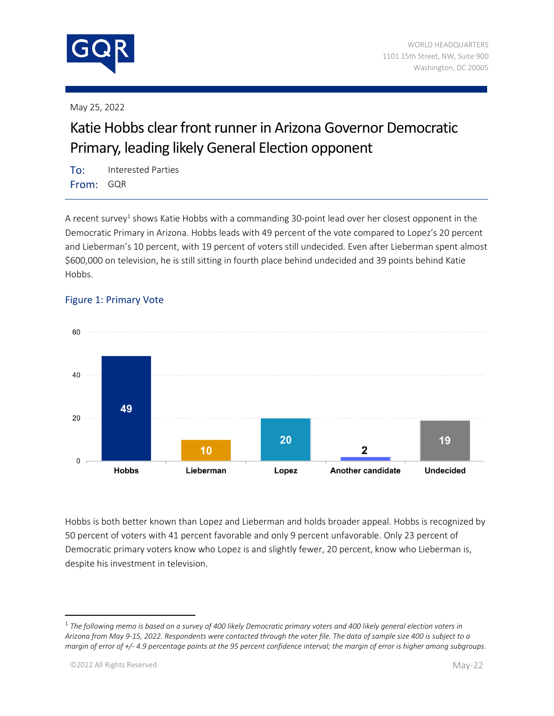

May 25, 2022

## Katie Hobbs clear front runner in Arizona Governor Democratic Primary, leading likely General Election opponent

To: Interested Parties From: GQR

A recent survey<sup>1</sup> shows Katie Hobbs with a commanding 30-point lead over her closest opponent in the Democratic Primary in Arizona. Hobbs leads with 49 percent of the vote compared to Lopez's 20 percent and Lieberman's 10 percent, with 19 percent of voters still undecided. Even after Lieberman spent almost \$600,000 on television, he is still sitting in fourth place behind undecided and 39 points behind Katie Hobbs.



## Figure 1: Primary Vote

Hobbs is both better known than Lopez and Lieberman and holds broader appeal. Hobbs is recognized by 50 percent of voters with 41 percent favorable and only 9 percent unfavorable. Only 23 percent of Democratic primary voters know who Lopez is and slightly fewer, 20 percent, know who Lieberman is, despite his investment in television.

<sup>1</sup> *The following memo is based on a survey of 400 likely Democratic primary voters and 400 likely general election voters in Arizona from May 9-15, 2022. Respondents were contacted through the voter file. The data of sample size 400 is subject to a margin of error of +/- 4.9 percentage points at the 95 percent confidence interval; the margin of error is higher among subgroups.*